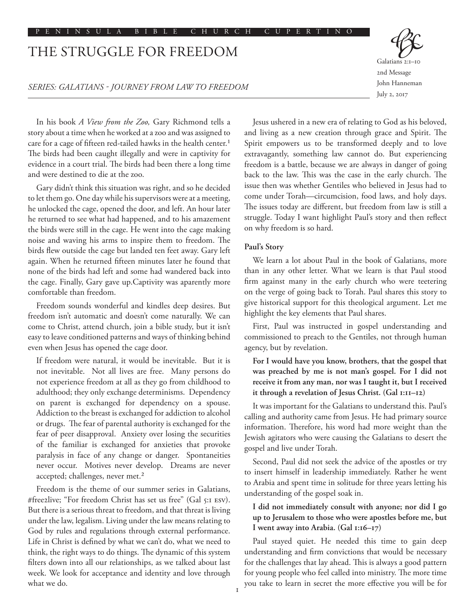# THE STRUGGLE FOR FREEDOM

### *SERIES: GALATIANS - JOURNEY FROM LAW TO FREEDOM*

In his book *A View from the Zoo,* Gary Richmond tells a story about a time when he worked at a zoo and was assigned to care for a cage of fifteen red-tailed hawks in the health center.<sup>1</sup> The birds had been caught illegally and were in captivity for evidence in a court trial. The birds had been there a long time and were destined to die at the zoo.

Gary didn't think this situation was right, and so he decided to let them go. One day while his supervisors were at a meeting, he unlocked the cage, opened the door, and left. An hour later he returned to see what had happened, and to his amazement the birds were still in the cage. He went into the cage making noise and waving his arms to inspire them to freedom. The birds flew outside the cage but landed ten feet away. Gary left again. When he returned fifteen minutes later he found that none of the birds had left and some had wandered back into the cage. Finally, Gary gave up.Captivity was aparently more comfortable than freedom.

Freedom sounds wonderful and kindles deep desires. But freedom isn't automatic and doesn't come naturally. We can come to Christ, attend church, join a bible study, but it isn't easy to leave conditioned patterns and ways of thinking behind even when Jesus has opened the cage door.

If freedom were natural, it would be inevitable. But it is not inevitable. Not all lives are free. Many persons do not experience freedom at all as they go from childhood to adulthood; they only exchange determinisms. Dependency on parent is exchanged for dependency on a spouse. Addiction to the breast is exchanged for addiction to alcohol or drugs. The fear of parental authority is exchanged for the fear of peer disapproval. Anxiety over losing the securities of the familiar is exchanged for anxieties that provoke paralysis in face of any change or danger. Spontaneities never occur. Motives never develop. Dreams are never accepted; challenges, never met.<sup>2</sup>

Freedom is the theme of our summer series in Galatians, #free2live; "For freedom Christ has set us free" (Gal 5:1 ESV). But there is a serious threat to freedom, and that threat is living under the law, legalism. Living under the law means relating to God by rules and regulations through external performance. Life in Christ is defined by what we can't do, what we need to think, the right ways to do things. The dynamic of this system filters down into all our relationships, as we talked about last week. We look for acceptance and identity and love through what we do.

Jesus ushered in a new era of relating to God as his beloved, and living as a new creation through grace and Spirit. The Spirit empowers us to be transformed deeply and to love extravagantly, something law cannot do. But experiencing freedom is a battle, because we are always in danger of going back to the law. This was the case in the early church. The issue then was whether Gentiles who believed in Jesus had to come under Torah—circumcision, food laws, and holy days. The issues today are different, but freedom from law is still a struggle. Today I want highlight Paul's story and then reflect on why freedom is so hard.

# **Paul's Story**

We learn a lot about Paul in the book of Galatians, more than in any other letter. What we learn is that Paul stood firm against many in the early church who were teetering on the verge of going back to Torah. Paul shares this story to give historical support for this theological argument. Let me highlight the key elements that Paul shares.

First, Paul was instructed in gospel understanding and commissioned to preach to the Gentiles, not through human agency, but by revelation.

**For I would have you know, brothers, that the gospel that was preached by me is not man's gospel. For I did not receive it from any man, nor was I taught it, but I received it through a revelation of Jesus Christ. (Gal 1:11–12)**

It was important for the Galatians to understand this. Paul's calling and authority came from Jesus. He had primary source information. Therefore, his word had more weight than the Jewish agitators who were causing the Galatians to desert the gospel and live under Torah.

Second, Paul did not seek the advice of the apostles or try to insert himself in leadership immediately. Rather he went to Arabia and spent time in solitude for three years letting his understanding of the gospel soak in.

# **I did not immediately consult with anyone; nor did I go up to Jerusalem to those who were apostles before me, but I went away into Arabia. (Gal 1:16–17)**

Paul stayed quiet. He needed this time to gain deep understanding and firm convictions that would be necessary for the challenges that lay ahead. This is always a good pattern for young people who feel called into ministry. The more time you take to learn in secret the more effective you will be for

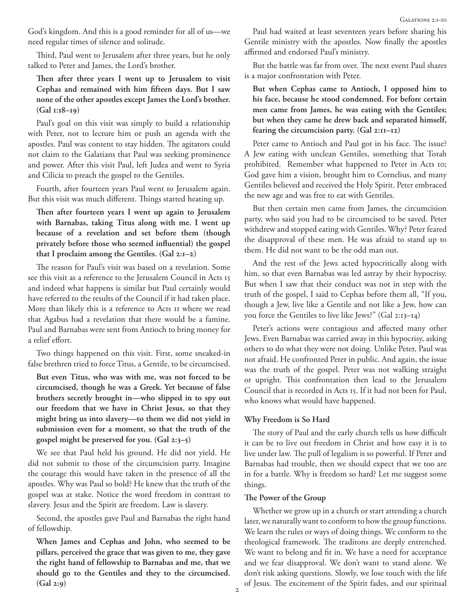God's kingdom. And this is a good reminder for all of us—we need regular times of silence and solitude.

Third, Paul went to Jerusalem after three years, but he only talked to Peter and James, the Lord's brother.

**Then after three years I went up to Jerusalem to visit Cephas and remained with him fifteen days. But I saw none of the other apostles except James the Lord's brother. (Gal 1:18–19)**

Paul's goal on this visit was simply to build a relationship with Peter, not to lecture him or push an agenda with the apostles. Paul was content to stay hidden. The agitators could not claim to the Galatians that Paul was seeking prominence and power. After this visit Paul, left Judea and went to Syria and Cilicia to preach the gospel to the Gentiles.

Fourth, after fourteen years Paul went to Jerusalem again. But this visit was much different. Things started heating up.

**Then after fourteen years I went up again to Jerusalem with Barnabas, taking Titus along with me. I went up because of a revelation and set before them (though privately before those who seemed influential) the gospel that I proclaim among the Gentiles. (Gal 2:1–2)**

The reason for Paul's visit was based on a revelation. Some see this visit as a reference to the Jerusalem Council in Acts 15 and indeed what happens is similar but Paul certainly would have referred to the results of the Council if it had taken place. More than likely this is a reference to Acts 11 where we read that Agabus had a revelation that there would be a famine. Paul and Barnabas were sent from Antioch to bring money for a relief effort.

Two things happened on this visit. First, some sneaked-in false brethren tried to force Titus, a Gentile, to be circumcised.

**But even Titus, who was with me, was not forced to be circumcised, though he was a Greek. Yet because of false brothers secretly brought in—who slipped in to spy out our freedom that we have in Christ Jesus, so that they might bring us into slavery—to them we did not yield in submission even for a moment, so that the truth of the gospel might be preserved for you. (Gal 2:3–5)**

We see that Paul held his ground. He did not yield. He did not submit to those of the circumcision party. Imagine the courage this would have taken in the presence of all the apostles. Why was Paul so bold? He knew that the truth of the gospel was at stake. Notice the word freedom in contrast to slavery. Jesus and the Spirit are freedom. Law is slavery.

Second, the apostles gave Paul and Barnabas the right hand of fellowship.

**When James and Cephas and John, who seemed to be pillars, perceived the grace that was given to me, they gave the right hand of fellowship to Barnabas and me, that we should go to the Gentiles and they to the circumcised. (Gal 2:9)**

Paul had waited at least seventeen years before sharing his Gentile ministry with the apostles. Now finally the apostles affirmed and endorsed Paul's ministry.

But the battle was far from over. The next event Paul shares is a major confrontation with Peter.

**But when Cephas came to Antioch, I opposed him to his face, because he stood condemned. For before certain men came from James, he was eating with the Gentiles; but when they came he drew back and separated himself, fearing the circumcision party. (Gal 2:11–12)**

Peter came to Antioch and Paul got in his face. The issue? A Jew eating with unclean Gentiles, something that Torah prohibited. Remember what happened to Peter in Acts 10; God gave him a vision, brought him to Cornelius, and many Gentiles believed and received the Holy Spirit. Peter embraced the new age and was free to eat with Gentiles.

But then certain men came from James, the circumcision party, who said you had to be circumcised to be saved. Peter withdrew and stopped eating with Gentiles. Why? Peter feared the disapproval of these men. He was afraid to stand up to them. He did not want to be the odd man out.

And the rest of the Jews acted hypocritically along with him, so that even Barnabas was led astray by their hypocrisy. But when I saw that their conduct was not in step with the truth of the gospel, I said to Cephas before them all, "If you, though a Jew, live like a Gentile and not like a Jew, how can you force the Gentiles to live like Jews?" (Gal 2:13–14)

Peter's actions were contagious and affected many other Jews. Even Barnabas was carried away in this hypocrisy, asking others to do what they were not doing. Unlike Peter, Paul was not afraid. He confronted Peter in public. And again, the issue was the truth of the gospel. Peter was not walking straight or upright. This confrontation then lead to the Jerusalem Council that is recorded in Acts 15. If it had not been for Paul, who knows what would have happened.

#### **Why Freedom is So Hard**

The story of Paul and the early church tells us how difficult it can be to live out freedom in Christ and how easy it is to live under law. The pull of legalism is so powerful. If Peter and Barnabas had trouble, then we should expect that we too are in for a battle. Why is freedom so hard? Let me suggest some things.

## **The Power of the Group**

Whether we grow up in a church or start attending a church later, we naturally want to conform to how the group functions. We learn the rules or ways of doing things. We conform to the theological framework. The traditons are deeply entrenched. We want to belong and fit in. We have a need for acceptance and we fear disapproval. We don't want to stand alone. We don't risk asking questions. Slowly, we lose touch with the life of Jesus. The excitement of the Spirit fades, and our spiritual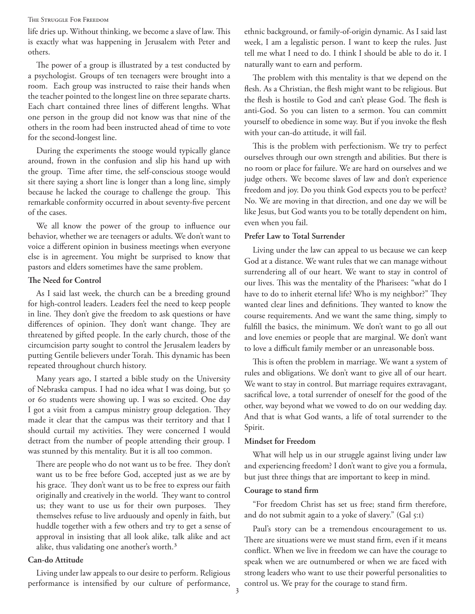#### The Struggle For Freedom

life dries up. Without thinking, we become a slave of law. This is exactly what was happening in Jerusalem with Peter and others.

The power of a group is illustrated by a test conducted by a psychologist. Groups of ten teenagers were brought into a room. Each group was instructed to raise their hands when the teacher pointed to the longest line on three separate charts. Each chart contained three lines of different lengths. What one person in the group did not know was that nine of the others in the room had been instructed ahead of time to vote for the second-longest line.

During the experiments the stooge would typically glance around, frown in the confusion and slip his hand up with the group. Time after time, the self-conscious stooge would sit there saying a short line is longer than a long line, simply because he lacked the courage to challenge the group. This remarkable conformity occurred in about seventy-five percent of the cases.

We all know the power of the group to influence our behavior, whether we are teenagers or adults. We don't want to voice a different opinion in business meetings when everyone else is in agreement. You might be surprised to know that pastors and elders sometimes have the same problem.

#### **The Need for Control**

As I said last week, the church can be a breeding ground for high-control leaders. Leaders feel the need to keep people in line. They don't give the freedom to ask questions or have differences of opinion. They don't want change. They are threatened by gifted people. In the early church, those of the circumcision party sought to control the Jerusalem leaders by putting Gentile believers under Torah. This dynamic has been repeated throughout church history.

Many years ago, I started a bible study on the University of Nebraska campus. I had no idea what I was doing, but 50 or 60 students were showing up. I was so excited. One day I got a visit from a campus ministry group delegation. They made it clear that the campus was their territory and that I should curtail my activities. They were concerned I would detract from the number of people attending their group. I was stunned by this mentality. But it is all too common.

There are people who do not want us to be free. They don't want us to be free before God, accepted just as we are by his grace. They don't want us to be free to express our faith originally and creatively in the world. They want to control us; they want to use us for their own purposes. They themselves refuse to live arduously and openly in faith, but huddle together with a few others and try to get a sense of approval in insisting that all look alike, talk alike and act alike, thus validating one another's worth.3

# **Can-do Attitude**

Living under law appeals to our desire to perform. Religious performance is intensified by our culture of performance, ethnic background, or family-of-origin dynamic. As I said last week, I am a legalistic person. I want to keep the rules. Just tell me what I need to do. I think I should be able to do it. I naturally want to earn and perform.

The problem with this mentality is that we depend on the flesh. As a Christian, the flesh might want to be religious. But the flesh is hostile to God and can't please God. The flesh is anti-God. So you can listen to a sermon. You can committ yourself to obedience in some way. But if you invoke the flesh with your can-do attitude, it will fail.

This is the problem with perfectionism. We try to perfect ourselves through our own strength and abilities. But there is no room or place for failure. We are hard on ourselves and we judge others. We become slaves of law and don't experience freedom and joy. Do you think God expects you to be perfect? No. We are moving in that direction, and one day we will be like Jesus, but God wants you to be totally dependent on him, even when you fail.

## **Prefer Law to Total Surrender**

Living under the law can appeal to us because we can keep God at a distance. We want rules that we can manage without surrendering all of our heart. We want to stay in control of our lives. This was the mentality of the Pharisees: "what do I have to do to inherit eternal life? Who is my neighbor?" They wanted clear lines and definitions. They wanted to know the course requirements. And we want the same thing, simply to fulfill the basics, the minimum. We don't want to go all out and love enemies or people that are marginal. We don't want to love a difficult family member or an unreasonable boss.

This is often the problem in marriage. We want a system of rules and obligations. We don't want to give all of our heart. We want to stay in control. But marriage requires extravagant, sacrifical love, a total surrender of oneself for the good of the other, way beyond what we vowed to do on our wedding day. And that is what God wants, a life of total surrender to the Spirit.

#### **Mindset for Freedom**

What will help us in our struggle against living under law and experiencing freedom? I don't want to give you a formula, but just three things that are important to keep in mind.

#### **Courage to stand firm**

"For freedom Christ has set us free; stand firm therefore, and do not submit again to a yoke of slavery." (Gal 5:1)

Paul's story can be a tremendous encouragement to us. There are situations were we must stand firm, even if it means conflict. When we live in freedom we can have the courage to speak when we are outnumbered or when we are faced with strong leaders who want to use their powerful personalities to control us. We pray for the courage to stand firm.